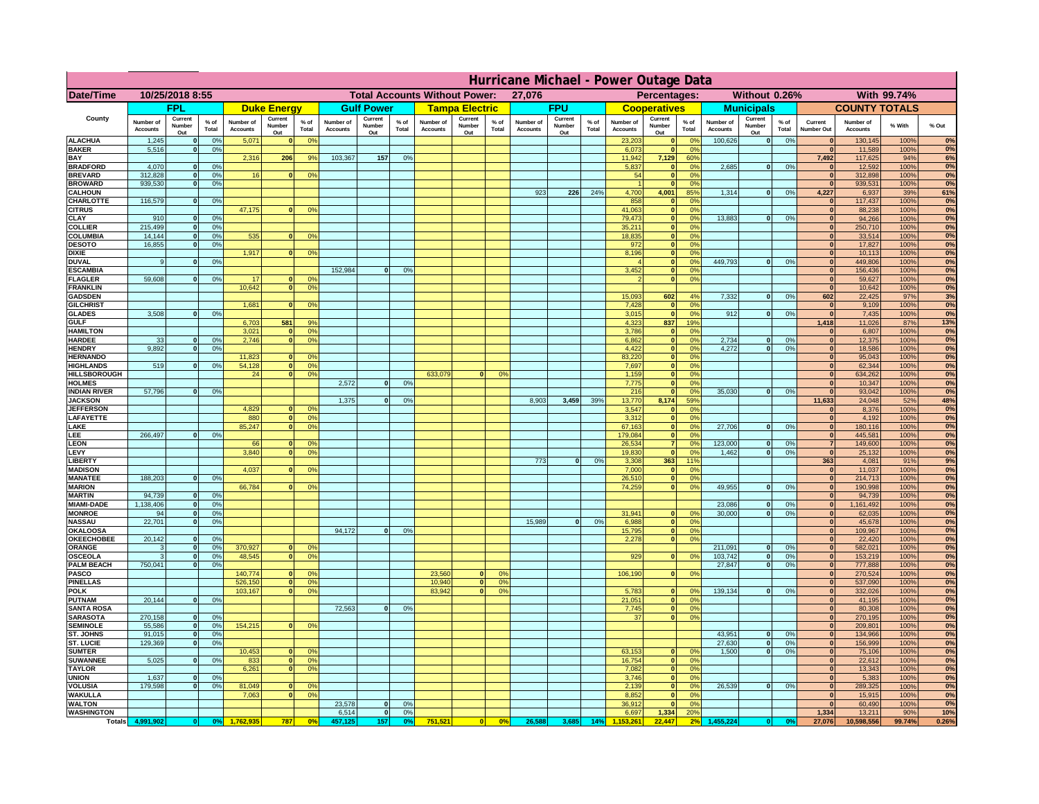|                                      | Hurricane Michael - Power Outage Data |                              |                      |                              |                                 |                                                |                       |                          |                 |                                              |                          |                 |                              |                          |               |                              |                          |                                               |                              |                              |                 |                              |                              |              |           |
|--------------------------------------|---------------------------------------|------------------------------|----------------------|------------------------------|---------------------------------|------------------------------------------------|-----------------------|--------------------------|-----------------|----------------------------------------------|--------------------------|-----------------|------------------------------|--------------------------|---------------|------------------------------|--------------------------|-----------------------------------------------|------------------------------|------------------------------|-----------------|------------------------------|------------------------------|--------------|-----------|
| Date/Time                            | 10/25/2018 8:55                       |                              |                      |                              |                                 | <b>Total Accounts Without Power:</b><br>27,076 |                       |                          |                 | Without 0.26%<br>With 99.74%<br>Percentages: |                          |                 |                              |                          |               |                              |                          |                                               |                              |                              |                 |                              |                              |              |           |
|                                      |                                       | <b>FPL</b>                   |                      |                              | <b>Duke Energy</b>              |                                                |                       | <b>Gulf Power</b>        |                 |                                              | <b>Tampa Electric</b>    |                 |                              | <b>FPU</b>               |               |                              | <b>Cooperatives</b>      |                                               |                              | <b>Municipals</b>            |                 |                              | <b>COUNTY TOTALS</b>         |              |           |
| County                               | Number of<br><b>Accounts</b>          | Current<br>Number<br>Out     | $%$ of<br>Total      | Number of<br><b>Accounts</b> | Current<br><b>Number</b><br>Out | $%$ of<br>Total                                | Number of<br>Accounts | Current<br>Number<br>Out | $%$ of<br>Total | Number of<br><b>Accounts</b>                 | Current<br>Number<br>Out | $%$ of<br>Total | Number of<br><b>Accounts</b> | Current<br>Number<br>Out | % of<br>Total | Number of<br><b>Accounts</b> | Current<br>Number<br>Out | $%$ of<br>Total                               | Number of<br><b>Accounts</b> | Current<br>Number<br>Out     | $%$ of<br>Total | Current<br>Number Out        | Number of<br><b>Accounts</b> | % With       | % Out     |
| <b>ALACHUA</b><br><b>BAKER</b>       | 1,245                                 | $\mathbf{0}$<br>$\mathbf{0}$ | 0%<br>0%             | 5,071                        |                                 | 0 <sup>9</sup>                                 |                       |                          |                 |                                              |                          |                 |                              |                          |               | 23,203                       | $\bf{0}$<br>$\bf{0}$     | $^{\circ}$<br>0 <sup>9</sup>                  | 100,626                      | 0                            | 0%              | $\mathbf{0}$<br>$\mathbf{0}$ | 130,145                      | 100%<br>100% | 0%<br>0%  |
| BAY                                  | 5,516                                 |                              |                      | 2,316                        | 206                             | 9%                                             | 103,367               | 157                      | 0%              |                                              |                          |                 |                              |                          |               | 6,073<br>11,942              | 7,129                    | 60%                                           |                              |                              |                 | 7,492                        | 11,589<br>117,625            | 94%          | 6%        |
| <b>BRADFORD</b><br><b>BREVARD</b>    | 4,070<br>312.828                      | $\Omega$<br>$\mathbf{0}$     | 0%<br>0 <sup>9</sup> | 16                           |                                 | 0 <sup>o</sup>                                 |                       |                          |                 |                                              |                          |                 |                              |                          |               | 5,837<br>54                  | 0 <br> 0                 | 0 <sup>o</sup><br>0 <sup>9</sup>              | 2,685                        | 0                            | 0%              | $\Omega$<br> 0               | 12,592<br>312,898            | 100%<br>100% | 0%<br>0%  |
| <b>BROWARD</b>                       | 939.530                               | $\mathbf{0}$                 | 0%                   |                              |                                 |                                                |                       |                          |                 |                                              |                          |                 |                              |                          |               |                              | 0                        | 0%                                            |                              |                              |                 | 0                            | 939,531                      | 100%         | 0%        |
| <b>CALHOUN</b>                       |                                       |                              |                      |                              |                                 |                                                |                       |                          |                 |                                              |                          |                 | 923                          | 226                      | 24%           | 4,700                        | 4,001                    | 85%                                           | 1,314                        | 0                            | 0%              | 4,227                        | 6,937                        | 39%          | 61%       |
| CHARLOTTE<br><b>CITRUS</b>           | 116,579                               | $\mathbf{0}$                 | 0%                   | 47,175                       |                                 | 0 <sup>o</sup>                                 |                       |                          |                 |                                              |                          |                 |                              |                          |               | 858<br>41.063                | $\mathbf{0}$<br> 0       | 0%<br>0 <sup>9</sup>                          |                              |                              |                 | $\mathbf{0}$<br>$\mathbf{0}$ | 117,437<br>88.238            | 100%<br>100% | 0%<br>0%  |
| CLAY                                 | 910                                   |                              | 0%                   |                              |                                 |                                                |                       |                          |                 |                                              |                          |                 |                              |                          |               | 79,473                       | 0                        | 0%                                            | 13,883                       | 0                            | 0%              | $\bf{0}$                     | 94,266                       | 100%         | 0%        |
| <b>COLLIER</b><br>COLUMBIA           | 215,499<br>14,144                     |                              | 0%<br>0%             | 535                          |                                 | 0 <sup>o</sup>                                 |                       |                          |                 |                                              |                          |                 |                              |                          |               | 35,211<br>18,835             | 0 <br> 0                 | 0 <sup>9</sup><br>0 <sup>9</sup>              |                              |                              |                 | $\mathbf{0}$<br>$\mathbf{0}$ | 250,710<br>33,514            | 100%<br>100% | 0%<br>0%  |
| <b>DESOTO</b>                        | 16,855                                |                              | 0%                   |                              |                                 |                                                |                       |                          |                 |                                              |                          |                 |                              |                          |               | 972                          | 0                        | 0 <sup>9</sup>                                |                              |                              |                 |                              | 17,827                       | 100%         | 0%        |
| <b>DIXIE</b>                         |                                       |                              |                      | 1,917                        |                                 | 0 <sup>o</sup>                                 |                       |                          |                 |                                              |                          |                 |                              |                          |               | 8,196                        | 0                        | 0 <sup>9</sup>                                |                              |                              |                 |                              | 10,113                       | 100%         | 0%        |
| <b>DUVAL</b><br><b>ESCAMBIA</b>      | 9                                     |                              | 0 <sup>9</sup>       |                              |                                 |                                                | 152,984               | $\Omega$                 | 0 <sup>9</sup>  |                                              |                          |                 |                              |                          |               | 3,452                        | 0 <br>$\mathbf{0}$       | 0 <sup>9</sup><br>0 <sup>o</sup>              | 449,793                      | 0                            | 0%              | $\mathbf{0}$<br>$\mathbf{0}$ | 449,806<br>156,436           | 100%<br>100% | 0%<br>0%  |
| <b>FLAGLER</b>                       | 59,608                                | $\mathbf{0}$                 | 0 <sup>9</sup>       | 17                           |                                 | 0 <sup>9</sup>                                 |                       |                          |                 |                                              |                          |                 |                              |                          |               |                              | $\mathbf{0}$             | 0 <sup>9</sup>                                |                              |                              |                 | $\mathbf{0}$                 | 59,627                       | 100%         | 0%        |
| <b>FRANKLIN</b>                      |                                       |                              |                      | 10,642                       |                                 | 0 <sup>9</sup>                                 |                       |                          |                 |                                              |                          |                 |                              |                          |               | 15,093                       | 602                      |                                               | 7,332                        |                              |                 | $\mathbf{0}$<br>602          | 10,642<br>22,425             | 100%<br>97%  | 0%<br>3%  |
| <b>GADSDEN</b><br><b>GILCHRIST</b>   |                                       |                              |                      | 1.681                        |                                 | 0 <sup>9</sup>                                 |                       |                          |                 |                                              |                          |                 |                              |                          |               | 7,428                        | $\mathbf{0}$             | 4%<br>0 <sup>9</sup>                          |                              | 0                            | 0%              | $\Omega$                     | 9,109                        | 100%         | 0%        |
| <b>GLADES</b>                        | 3.508                                 |                              | 0%                   |                              |                                 |                                                |                       |                          |                 |                                              |                          |                 |                              |                          |               | 3,015                        | 0                        | 0%                                            | 912                          | 0                            | 0%              | 0                            | 7,435                        | 100%         | 0%        |
| <b>GULF</b><br><b>HAMILTON</b>       |                                       |                              |                      | 6,703<br>3,021               | 581                             | 9%<br>0 <sup>9</sup>                           |                       |                          |                 |                                              |                          |                 |                              |                          |               | 4,323<br>3,786               | 837<br> 0                | 19%<br>0%                                     |                              |                              |                 | 1,418<br> 0                  | 11,026<br>6,807              | 87%<br>100%  | 13%<br>0% |
| <b>HARDEE</b>                        | 33                                    | $\mathbf{0}$                 | 0%                   | 2,746                        |                                 | 0 <sup>9</sup>                                 |                       |                          |                 |                                              |                          |                 |                              |                          |               | 6,862                        |                          | 0 <br>0%                                      | 2,734                        | $\mathbf{0}$                 | 0%              | 0                            | 12,375                       | 100%         | 0%        |
| <b>HENDRY</b>                        | 9.892                                 | $\Omega$                     | 0 <sup>9</sup>       |                              |                                 |                                                |                       |                          |                 |                                              |                          |                 |                              |                          |               | 4,422                        |                          | 0 <br>0%                                      | 4.272                        | 0                            | 0%              | 0                            | 18,586                       | 100%         | 0%        |
| <b>HERNANDO</b><br><b>HIGHLANDS</b>  | 519                                   | $\Omega$                     | 0%                   | 11,823<br>54,128             |                                 | 0 <sup>o</sup><br>0 <sup>9</sup>               |                       |                          |                 |                                              |                          |                 |                              |                          |               | 83,220<br>7,697              |                          | 0 <br>0 <sup>9</sup><br> 0 <br>0 <sup>9</sup> |                              |                              |                 | 0 <br> 0                     | 95,043<br>62,344             | 100%<br>100% | 0%<br>0%  |
| HILLSBOROUGH                         |                                       |                              |                      | 24                           |                                 | 0 <sup>o</sup>                                 |                       |                          |                 | 633,079                                      | $\Omega$                 | 0 <sup>9</sup>  |                              |                          |               | 1,159                        |                          | 0 <br>0 <sup>9</sup>                          |                              |                              |                 | 0                            | 634,262                      | 100%         | 0%        |
| <b>HOLMES</b><br><b>INDIAN RIVER</b> | 57,796                                |                              | 0%                   |                              |                                 |                                                | 2,572                 | $\Omega$                 | 0 <sup>9</sup>  |                                              |                          |                 |                              |                          |               | 7,775<br>216                 | 0                        | 0 <br>0 <sup>9</sup><br>0 <sup>9</sup>        | 35.030                       | 0                            | 0%              | $\mathbf{0}$<br>$\mathbf{0}$ | 10,347<br>93,042             | 100%<br>100% | 0%<br>0%  |
| <b>JACKSON</b>                       |                                       |                              |                      |                              |                                 |                                                | 1,375                 | $\Omega$                 | 0 <sup>9</sup>  |                                              |                          |                 | 8,903                        | 3,459                    | 39%           | 13,770                       | 8,174                    | 59%                                           |                              |                              |                 | 11,633                       | 24,048                       | 52%          | 48%       |
| <b>JEFFERSON</b>                     |                                       |                              |                      | 4.829                        |                                 | 0 <sup>9</sup>                                 |                       |                          |                 |                                              |                          |                 |                              |                          |               | 3.547                        | $\mathbf{0}$             | 0%                                            |                              |                              |                 | $\mathbf{0}$                 | 8,376                        | 100%         | 0%        |
| LAFAYETTE<br>LAKE                    |                                       |                              |                      | 880<br>85,247                | n.                              | 0 <sup>9</sup><br>0%                           |                       |                          |                 |                                              |                          |                 |                              |                          |               | 3.312<br>67,163              |                          | $\mathbf{0}$<br>0%<br> 0 <br>0%               | 27,706                       | $\mathbf{0}$                 | 0%              | 0 <br> 0                     | 4.192<br>180,116             | 100%<br>100% | 0%<br>0%  |
| LEE                                  | 266,497                               |                              | 0%                   |                              |                                 |                                                |                       |                          |                 |                                              |                          |                 |                              |                          |               | 179,084                      |                          | 0%<br> 0                                      |                              |                              |                 | 0                            | 445,581                      | 100%         | 0%        |
| <b>LEON</b><br>LEVY                  |                                       |                              |                      | 66<br>3,840                  |                                 | 0 <sup>9</sup><br>0 <sup>9</sup>               |                       |                          |                 |                                              |                          |                 |                              |                          |               | 26,534<br>19,830             | 0                        | 7 <sup>1</sup><br>0%<br>0 <sup>9</sup>        | 123,000<br>1,462             | $\mathbf{0}$<br>$\mathbf{0}$ | 0%<br>0%        | 7 <sup>1</sup><br> 0         | 149,600<br>25,132            | 100%<br>100% | 0%<br>0%  |
| <b>LIBERT</b>                        |                                       |                              |                      |                              |                                 |                                                |                       |                          |                 |                                              |                          |                 | 773                          | $\Omega$                 | 0%            | 3,308                        | 363                      | 11%                                           |                              |                              |                 | 363                          | 4,081                        | 91%          | 9%        |
| <b>MADISON</b>                       |                                       |                              |                      | 4,037                        |                                 | 0 <sup>o</sup>                                 |                       |                          |                 |                                              |                          |                 |                              |                          |               | 7,000                        |                          | 0 <br>0%                                      |                              |                              |                 | 0                            | 11,037                       | 100%         | 0%        |
| <b>MANATEE</b><br><b>MARION</b>      | 188,203                               | $\mathbf{0}$                 | 0 <sup>9</sup>       | 66,784                       |                                 | 0 <sup>9</sup>                                 |                       |                          |                 |                                              |                          |                 |                              |                          |               | 26,510<br>74,259             |                          | 0%<br> 0 <br> 0 <br>0%                        | 49,955                       | 0                            | 0%              | 0 <br> 0                     | 214,713<br>190,998           | 100%<br>100% | 0%<br>0%  |
| <b>MARTIN</b>                        | 94,739                                | $\mathbf{0}$                 | 0 <sup>9</sup>       |                              |                                 |                                                |                       |                          |                 |                                              |                          |                 |                              |                          |               |                              |                          |                                               |                              |                              |                 | 0                            | 94,739                       | 100%         | 0%        |
| <b>MIAMI-DADE</b><br><b>MONROE</b>   | 1,138,406<br>94                       | 0 <br>-ol                    | 0%<br>0%             |                              |                                 |                                                |                       |                          |                 |                                              |                          |                 |                              |                          |               | 31,941                       | $\mathbf{0}$             | 0 <sup>9</sup>                                | 23,086<br>30,000             | 0 <br> 0                     | 0%<br>0%        | 0 <br>$\mathbf{0}$           | 1,161,492<br>62,035          | 100%<br>100% | 0%<br>0%  |
| <b>NASSAU</b>                        | 22,701                                | 0                            | 0%                   |                              |                                 |                                                |                       |                          |                 |                                              |                          |                 | 15,989                       | 0                        | 0%            | 6,988                        |                          | 0 <br>0%                                      |                              |                              |                 | 0                            | 45,678                       | 100%         | 0%        |
| <b>OKALOOSA</b>                      |                                       |                              |                      |                              |                                 |                                                | 94,172                | 0                        | 0%              |                                              |                          |                 |                              |                          |               | 15,795                       |                          | 0%<br> 0                                      |                              |                              |                 | 0                            | 109,967                      | 100%         | 0%        |
| <b>OKEECHOBEE</b><br>ORANGE          | 20,142<br>3                           | 0<br> 0                      | 0%<br>0%             | 370,927                      |                                 | 0 <sup>9</sup>                                 |                       |                          |                 |                                              |                          |                 |                              |                          |               | 2,278                        |                          | 0%<br> 0                                      | 211,091                      | 0                            | 0%              | 0 <br> 0                     | 22,420<br>582,021            | 100%<br>100% | 0%<br>0%  |
| <b>OSCEOLA</b>                       | 3                                     | 0                            | 0%                   | 48,545                       | $\mathbf{0}$                    | 0%                                             |                       |                          |                 |                                              |                          |                 |                              |                          |               | 929                          |                          | 0 <br>0%                                      | 103,742                      | 0                            | 0%              | 0                            | 153,219                      | 100%         | 0%        |
| <b>PALM BEACH</b><br><b>PASCO</b>    | 750,041                               | 0                            | 0%                   | 140,774                      |                                 | 0 <sup>9</sup>                                 |                       |                          |                 | 23,560                                       | $\mathbf{0}$             | O <sup>o</sup>  |                              |                          |               | 106,190                      |                          | 0%                                            | 27,847                       | 0                            | 0%              | 0                            | 777,888                      | 100%         | 0%<br>0%  |
| <b>PINELLAS</b>                      |                                       |                              |                      | 526,150                      | $\mathbf{0}$                    | 0%                                             |                       |                          |                 | 10,940                                       | 0                        | 0 <sup>9</sup>  |                              |                          |               |                              |                          | 0                                             |                              |                              |                 | 0 <br> 0                     | 270,524<br>537,090           | 100%<br>100% | 0%        |
| <b>POLK</b>                          |                                       |                              |                      | 103,167                      | $\Omega$                        | 0 <sup>9</sup>                                 |                       |                          |                 | 83,942                                       | 0                        | 0 <sup>o</sup>  |                              |                          |               | 5,783                        |                          | 0 <br>$^{\circ}$                              | 139,134                      | 0                            | 0%              | 0                            | 332,026                      | 100%         | 0%        |
| <b>PUTNAM</b><br><b>SANTA ROSA</b>   | 20,144                                | 0                            | 0%                   |                              |                                 |                                                | 72,563                | 0                        | 0%              |                                              |                          |                 |                              |                          |               | 21,051<br>7,745              |                          | 0 <sup>9</sup><br> 0 <br>0 <sup>9</sup><br> 0 |                              |                              |                 | 0 <br>$\Omega$               | 41,195<br>80,308             | 100%<br>100% | 0%<br>0%  |
| <b>SARASOTA</b>                      | 270,158                               | 0                            | 0 <sup>9</sup>       |                              |                                 |                                                |                       |                          |                 |                                              |                          |                 |                              |                          |               | 37                           |                          | 0%<br> 0                                      |                              |                              |                 | $\mathbf{0}$                 | 270,195                      | 100%         | 0%        |
| <b>SEMINOLE</b>                      | 55,586                                | 0                            | 0 <sup>9</sup>       | 154,215                      | $\mathbf{0}$                    | 0 <sup>9</sup>                                 |                       |                          |                 |                                              |                          |                 |                              |                          |               |                              |                          |                                               |                              |                              |                 | 0                            | 209,801                      | 100%         | 0%        |
| ST. JOHNS<br>ST. LUCIE               | 91,015<br>129,369                     | 0 <br>$\mathbf{0}$           | 0%<br>0%             |                              |                                 |                                                |                       |                          |                 |                                              |                          |                 |                              |                          |               |                              |                          |                                               | 43,951<br>27,630             | 0 <br> 0                     | 0%<br>0%        | $\mathbf{0}$<br>$\mathbf{0}$ | 134,966<br>156,999           | 100%<br>100% | 0%<br>0%  |
| <b>SUMTER</b>                        |                                       |                              |                      | 10,453                       |                                 | 0 <sup>9</sup>                                 |                       |                          |                 |                                              |                          |                 |                              |                          |               | 63,153                       |                          | 0 <sup>9</sup><br>$\mathbf{0}$                | 1.500                        | 0                            | 0%              | $\Omega$                     | 75,106                       | 100%         | 0%        |
| <b>SUWANNEE</b><br><b>TAYLOR</b>     | 5,025                                 | $\Omega$                     | 0%                   | 833<br>6,261                 | $\mathbf{0}$                    | 0 <sup>9</sup><br>0%                           |                       |                          |                 |                                              |                          |                 |                              |                          |               | 16,754<br>7,082              | 0                        | 0 <br>0%<br>0%                                |                              |                              |                 | $\mathbf{0}$<br> 0           | 22,612<br>13,343             | 100%<br>100% | 0%<br>0%  |
| <b>UNION</b>                         | 1.637                                 | $\mathbf{0}$                 | 0%                   |                              |                                 |                                                |                       |                          |                 |                                              |                          |                 |                              |                          |               | 3.746                        |                          | 0%<br> 0                                      |                              |                              |                 | $\mathbf{0}$                 | 5,383                        | 100%         | $0\%$     |
| <b>VOLUSIA</b>                       | 179.598                               | $\mathbf{0}$                 | 0%                   | 81,049                       |                                 | 0 <sup>9</sup>                                 |                       |                          |                 |                                              |                          |                 |                              |                          |               | 2.139                        |                          | 0 <br>0%                                      | 26.539                       | 0                            | 0%              | $\mathbf{0}$                 | 289,325                      | 100%         | 0%        |
| <b>WAKULLA</b><br><b>WALTON</b>      |                                       |                              |                      | 7,063                        |                                 | 0 <sup>o</sup>                                 | 23,578                | 0                        | 0 <sup>9</sup>  |                                              |                          |                 |                              |                          |               | 8,852<br>36,912              | 0 <br> 0                 | 0%<br>0%                                      |                              |                              |                 | $\mathbf{0}$<br>$\mathbf{0}$ | 15,915<br>60,490             | 100%<br>100% | 0%<br>0%  |
| <b>WASHINGTON</b>                    |                                       |                              |                      |                              |                                 |                                                | 6,514                 | 0                        | 0%              |                                              |                          |                 |                              |                          |               | 6,697                        | 1,334                    | 20%                                           |                              |                              |                 | 1,334                        | 13,211                       | 90%          | 10%       |
| <b>Totals</b>                        | 4,991,902                             | 0                            | 0 <sup>o</sup>       |                              | 787                             | 0 <sup>5</sup>                                 | 457,125               | 157                      | 0%              | 751,521                                      | 0                        | 0%              | 26,588                       | 3,685                    | 14%           |                              | 22.447                   |                                               | 455,224                      |                              | 0 <sup>o</sup>  | 27,076                       | 10,598,556                   | 99.74%       | 0.26%     |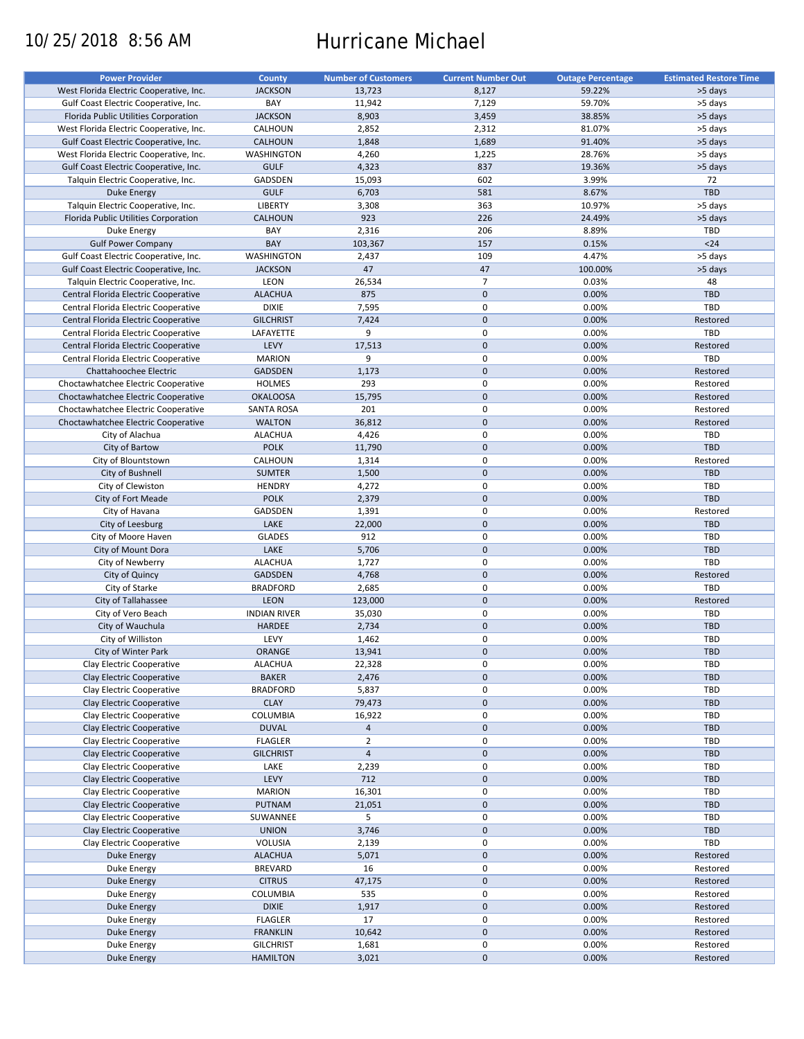# 10/25/2018 8:56 AM Hurricane Michael

| <b>Power Provider</b>                   | County              | <b>Number of Customers</b> | <b>Current Number Out</b> | <b>Outage Percentage</b> | <b>Estimated Restore Time</b> |
|-----------------------------------------|---------------------|----------------------------|---------------------------|--------------------------|-------------------------------|
| West Florida Electric Cooperative, Inc. | <b>JACKSON</b>      | 13,723                     | 8,127                     | 59.22%                   | >5 days                       |
| Gulf Coast Electric Cooperative, Inc.   | BAY                 | 11,942                     | 7,129                     | 59.70%                   | >5 days                       |
| Florida Public Utilities Corporation    | <b>JACKSON</b>      | 8,903                      | 3,459                     | 38.85%                   | >5 days                       |
| West Florida Electric Cooperative, Inc. | CALHOUN             | 2,852                      | 2,312                     | 81.07%                   | >5 days                       |
| Gulf Coast Electric Cooperative, Inc.   | <b>CALHOUN</b>      | 1,848                      | 1,689                     | 91.40%                   | >5 days                       |
| West Florida Electric Cooperative, Inc. | WASHINGTON          | 4,260                      | 1,225                     | 28.76%                   | >5 days                       |
| Gulf Coast Electric Cooperative, Inc.   | <b>GULF</b>         | 4,323                      | 837                       | 19.36%                   | >5 days                       |
|                                         |                     |                            |                           |                          |                               |
| Talquin Electric Cooperative, Inc.      | GADSDEN             | 15,093                     | 602                       | 3.99%                    | 72                            |
| Duke Energy                             | <b>GULF</b>         | 6,703                      | 581                       | 8.67%                    | TBD                           |
| Talquin Electric Cooperative, Inc.      | LIBERTY             | 3,308                      | 363                       | 10.97%                   | >5 days                       |
| Florida Public Utilities Corporation    | <b>CALHOUN</b>      | 923                        | 226                       | 24.49%                   | >5 days                       |
| Duke Energy                             | BAY                 | 2,316                      | 206                       | 8.89%                    | <b>TBD</b>                    |
| <b>Gulf Power Company</b>               | BAY                 | 103,367                    | 157                       | 0.15%                    | $24$                          |
| Gulf Coast Electric Cooperative, Inc.   | WASHINGTON          | 2,437                      | 109                       | 4.47%                    | >5 days                       |
| Gulf Coast Electric Cooperative, Inc.   | <b>JACKSON</b>      | 47                         | 47                        | 100.00%                  | >5 days                       |
| Talquin Electric Cooperative, Inc.      | LEON                | 26,534                     | $\overline{7}$            | 0.03%                    | 48                            |
| Central Florida Electric Cooperative    | <b>ALACHUA</b>      | 875                        | $\mathbf 0$               | 0.00%                    | <b>TBD</b>                    |
| Central Florida Electric Cooperative    | <b>DIXIE</b>        | 7,595                      | 0                         | 0.00%                    | TBD                           |
| Central Florida Electric Cooperative    | <b>GILCHRIST</b>    | 7,424                      | $\mathbf 0$               | 0.00%                    | Restored                      |
| Central Florida Electric Cooperative    | LAFAYETTE           | 9                          | $\mathbf 0$               | 0.00%                    | TBD                           |
|                                         |                     |                            | $\mathbf 0$               |                          |                               |
| Central Florida Electric Cooperative    | LEVY                | 17,513                     |                           | 0.00%                    | Restored                      |
| Central Florida Electric Cooperative    | <b>MARION</b>       | 9                          | $\pmb{0}$                 | 0.00%                    | TBD                           |
| Chattahoochee Electric                  | <b>GADSDEN</b>      | 1,173                      | $\mathbf 0$               | 0.00%                    | Restored                      |
| Choctawhatchee Electric Cooperative     | <b>HOLMES</b>       | 293                        | $\mathbf 0$               | 0.00%                    | Restored                      |
| Choctawhatchee Electric Cooperative     | <b>OKALOOSA</b>     | 15,795                     | $\mathbf 0$               | 0.00%                    | Restored                      |
| Choctawhatchee Electric Cooperative     | SANTA ROSA          | 201                        | $\pmb{0}$                 | 0.00%                    | Restored                      |
| Choctawhatchee Electric Cooperative     | <b>WALTON</b>       | 36,812                     | $\mathbf 0$               | 0.00%                    | Restored                      |
| City of Alachua                         | <b>ALACHUA</b>      | 4,426                      | $\mathbf 0$               | 0.00%                    | TBD                           |
| City of Bartow                          | <b>POLK</b>         | 11,790                     | $\mathbf 0$               | 0.00%                    | TBD                           |
| City of Blountstown                     | CALHOUN             | 1,314                      | $\pmb{0}$                 | 0.00%                    | Restored                      |
| City of Bushnell                        | <b>SUMTER</b>       | 1,500                      | $\mathbf 0$               | 0.00%                    | <b>TBD</b>                    |
| City of Clewiston                       | <b>HENDRY</b>       | 4,272                      | $\mathbf 0$               | 0.00%                    | <b>TBD</b>                    |
|                                         | <b>POLK</b>         |                            | $\mathbf{0}$              | 0.00%                    | <b>TBD</b>                    |
| City of Fort Meade                      |                     | 2,379                      |                           |                          |                               |
| City of Havana                          | GADSDEN             | 1,391                      | $\mathbf 0$               | 0.00%                    | Restored                      |
| City of Leesburg                        | LAKE                | 22,000                     | $\mathbf 0$               | 0.00%                    | TBD                           |
| City of Moore Haven                     | <b>GLADES</b>       | 912                        | $\mathbf 0$               | 0.00%                    | TBD                           |
| City of Mount Dora                      | LAKE                | 5,706                      | $\mathbf 0$               | 0.00%                    | <b>TBD</b>                    |
| City of Newberry                        | <b>ALACHUA</b>      | 1,727                      | $\pmb{0}$                 | 0.00%                    | TBD                           |
| City of Quincy                          | <b>GADSDEN</b>      | 4,768                      | $\mathbf 0$               | 0.00%                    | Restored                      |
| City of Starke                          | <b>BRADFORD</b>     | 2,685                      | $\mathbf 0$               | 0.00%                    | TBD                           |
| City of Tallahassee                     | LEON                | 123,000                    | $\mathbf 0$               | 0.00%                    | Restored                      |
| City of Vero Beach                      | <b>INDIAN RIVER</b> | 35,030                     | 0                         | 0.00%                    | <b>TBD</b>                    |
| City of Wauchula                        | HARDEE              | 2,734                      | $\mathbf 0$               | 0.00%                    | TBD                           |
| City of Williston                       | LEVY                | 1,462                      | 0                         | 0.00%                    | <b>TBD</b>                    |
| City of Winter Park                     | ORANGE              | 13,941                     | $\mathbf{0}$              | 0.00%                    | <b>TBD</b>                    |
| Clay Electric Cooperative               | <b>ALACHUA</b>      | 22,328                     | 0                         | 0.00%                    | <b>TBD</b>                    |
| Clay Electric Cooperative               | <b>BAKER</b>        | 2,476                      | $\pmb{0}$                 | 0.00%                    | <b>TBD</b>                    |
|                                         |                     |                            | 0                         |                          |                               |
| Clay Electric Cooperative               | <b>BRADFORD</b>     | 5,837                      |                           | 0.00%                    | <b>TBD</b>                    |
| Clay Electric Cooperative               | <b>CLAY</b>         | 79,473                     | $\pmb{0}$                 | 0.00%                    | TBD                           |
| Clay Electric Cooperative               | COLUMBIA            | 16,922                     | $\pmb{0}$                 | 0.00%                    | <b>TBD</b>                    |
| Clay Electric Cooperative               | <b>DUVAL</b>        | $\overline{4}$             | $\pmb{0}$                 | 0.00%                    | TBD                           |
| Clay Electric Cooperative               | <b>FLAGLER</b>      | $\overline{2}$             | 0                         | 0.00%                    | <b>TBD</b>                    |
| Clay Electric Cooperative               | <b>GILCHRIST</b>    | $\overline{4}$             | $\pmb{0}$                 | 0.00%                    | TBD                           |
| Clay Electric Cooperative               | LAKE                | 2,239                      | $\pmb{0}$                 | 0.00%                    | TBD                           |
| Clay Electric Cooperative               | LEVY                | 712                        | $\pmb{0}$                 | 0.00%                    | <b>TBD</b>                    |
| Clay Electric Cooperative               | <b>MARION</b>       | 16,301                     | 0                         | 0.00%                    | <b>TBD</b>                    |
| Clay Electric Cooperative               | PUTNAM              | 21,051                     | $\pmb{0}$                 | 0.00%                    | TBD                           |
| Clay Electric Cooperative               | SUWANNEE            | 5                          | 0                         | 0.00%                    | <b>TBD</b>                    |
| Clay Electric Cooperative               | <b>UNION</b>        | 3,746                      | $\pmb{0}$                 | 0.00%                    | TBD                           |
| Clay Electric Cooperative               | VOLUSIA             | 2,139                      | 0                         | 0.00%                    | TBD                           |
|                                         |                     |                            | $\pmb{0}$                 | 0.00%                    |                               |
| Duke Energy                             | <b>ALACHUA</b>      | 5,071                      |                           |                          | Restored                      |
| Duke Energy                             | <b>BREVARD</b>      | 16                         | $\pmb{0}$                 | 0.00%                    | Restored                      |
| Duke Energy                             | <b>CITRUS</b>       | 47,175                     | $\pmb{0}$                 | 0.00%                    | Restored                      |
| Duke Energy                             | COLUMBIA            | 535                        | 0                         | 0.00%                    | Restored                      |
| <b>Duke Energy</b>                      | <b>DIXIE</b>        | 1,917                      | $\pmb{0}$                 | 0.00%                    | Restored                      |
| Duke Energy                             | <b>FLAGLER</b>      | 17                         | $\pmb{0}$                 | 0.00%                    | Restored                      |
| <b>Duke Energy</b>                      | <b>FRANKLIN</b>     | 10,642                     | $\pmb{0}$                 | 0.00%                    | Restored                      |
| Duke Energy                             | <b>GILCHRIST</b>    | 1,681                      | 0                         | 0.00%                    | Restored                      |
| Duke Energy                             | <b>HAMILTON</b>     | 3,021                      | $\pmb{0}$                 | 0.00%                    | Restored                      |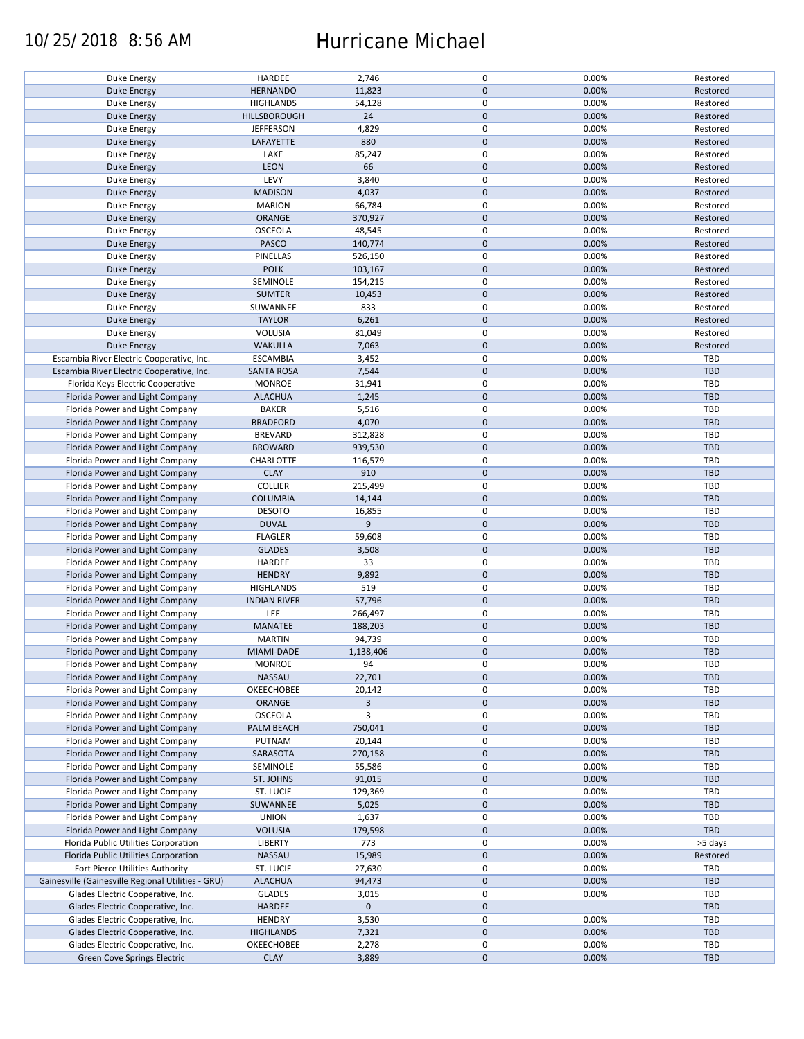### 10/25/2018 8:56 AM Hurricane Michael

| Duke Energy                                        | HARDEE              | 2,746          | $\mathsf 0$      | 0.00% | Restored   |
|----------------------------------------------------|---------------------|----------------|------------------|-------|------------|
| Duke Energy                                        | <b>HERNANDO</b>     | 11,823         | $\mathbf 0$      | 0.00% | Restored   |
| Duke Energy                                        | <b>HIGHLANDS</b>    | 54,128         | $\mathsf 0$      | 0.00% | Restored   |
| <b>Duke Energy</b>                                 | HILLSBOROUGH        | 24             | $\pmb{0}$        | 0.00% | Restored   |
|                                                    |                     | 4,829          | $\mathsf 0$      | 0.00% |            |
| Duke Energy                                        | <b>JEFFERSON</b>    |                |                  |       | Restored   |
| Duke Energy                                        | LAFAYETTE           | 880            | $\mathbf 0$      | 0.00% | Restored   |
| Duke Energy                                        | LAKE                | 85,247         | $\pmb{0}$        | 0.00% | Restored   |
| Duke Energy                                        | LEON                | 66             | $\mathbf 0$      | 0.00% | Restored   |
| Duke Energy                                        | LEVY                | 3,840          | $\pmb{0}$        | 0.00% | Restored   |
|                                                    |                     |                | $\mathbf 0$      |       |            |
| Duke Energy                                        | <b>MADISON</b>      | 4,037          |                  | 0.00% | Restored   |
| Duke Energy                                        | <b>MARION</b>       | 66,784         | $\mathsf 0$      | 0.00% | Restored   |
| <b>Duke Energy</b>                                 | ORANGE              | 370,927        | $\pmb{0}$        | 0.00% | Restored   |
| Duke Energy                                        | <b>OSCEOLA</b>      | 48,545         | $\mathsf 0$      | 0.00% | Restored   |
| Duke Energy                                        | PASCO               | 140,774        | $\mathbf 0$      | 0.00% | Restored   |
|                                                    |                     |                |                  |       |            |
| Duke Energy                                        | PINELLAS            | 526,150        | $\mathsf 0$      | 0.00% | Restored   |
| Duke Energy                                        | <b>POLK</b>         | 103,167        | $\mathbf 0$      | 0.00% | Restored   |
| Duke Energy                                        | SEMINOLE            | 154,215        | $\pmb{0}$        | 0.00% | Restored   |
| Duke Energy                                        | <b>SUMTER</b>       | 10,453         | $\pmb{0}$        | 0.00% | Restored   |
| Duke Energy                                        | SUWANNEE            | 833            | $\mathsf 0$      | 0.00% | Restored   |
|                                                    |                     |                |                  |       |            |
| Duke Energy                                        | <b>TAYLOR</b>       | 6,261          | $\mathbf 0$      | 0.00% | Restored   |
| Duke Energy                                        | VOLUSIA             | 81,049         | $\mathsf 0$      | 0.00% | Restored   |
| Duke Energy                                        | <b>WAKULLA</b>      | 7,063          | $\mathbf 0$      | 0.00% | Restored   |
| Escambia River Electric Cooperative, Inc.          | <b>ESCAMBIA</b>     | 3,452          | $\mathsf 0$      | 0.00% | TBD        |
| Escambia River Electric Cooperative, Inc.          | <b>SANTA ROSA</b>   | 7,544          | $\mathbf 0$      | 0.00% | TBD        |
|                                                    |                     |                |                  |       |            |
| Florida Keys Electric Cooperative                  | <b>MONROE</b>       | 31,941         | 0                | 0.00% | TBD        |
| Florida Power and Light Company                    | <b>ALACHUA</b>      | 1,245          | $\pmb{0}$        | 0.00% | <b>TBD</b> |
| Florida Power and Light Company                    | <b>BAKER</b>        | 5,516          | 0                | 0.00% | TBD        |
| Florida Power and Light Company                    | <b>BRADFORD</b>     | 4,070          | $\mathbf 0$      | 0.00% | TBD        |
| Florida Power and Light Company                    | <b>BREVARD</b>      | 312,828        | $\mathsf 0$      | 0.00% | TBD        |
|                                                    |                     |                |                  |       |            |
| Florida Power and Light Company                    | <b>BROWARD</b>      | 939,530        | $\mathbf 0$      | 0.00% | TBD        |
| Florida Power and Light Company                    | CHARLOTTE           | 116,579        | $\mathbf 0$      | 0.00% | <b>TBD</b> |
| Florida Power and Light Company                    | <b>CLAY</b>         | 910            | $\mathbf 0$      | 0.00% | TBD        |
| Florida Power and Light Company                    | <b>COLLIER</b>      | 215,499        | $\mathsf 0$      | 0.00% | TBD        |
| Florida Power and Light Company                    | <b>COLUMBIA</b>     | 14,144         | $\mathbf 0$      | 0.00% | <b>TBD</b> |
|                                                    |                     |                |                  |       |            |
| Florida Power and Light Company                    | <b>DESOTO</b>       | 16,855         | $\mathsf 0$      | 0.00% | <b>TBD</b> |
| Florida Power and Light Company                    | <b>DUVAL</b>        | 9              | $\mathbf 0$      | 0.00% | <b>TBD</b> |
| Florida Power and Light Company                    | <b>FLAGLER</b>      | 59,608         | $\mathsf 0$      | 0.00% | <b>TBD</b> |
| Florida Power and Light Company                    | <b>GLADES</b>       | 3,508          | $\mathbf 0$      | 0.00% | TBD        |
| Florida Power and Light Company                    | HARDEE              | 33             | $\mathsf 0$      | 0.00% | TBD        |
|                                                    |                     |                |                  |       |            |
| Florida Power and Light Company                    | <b>HENDRY</b>       | 9,892          | $\mathbf 0$      | 0.00% | TBD        |
| Florida Power and Light Company                    | <b>HIGHLANDS</b>    | 519            | $\mathsf 0$      | 0.00% | TBD        |
| Florida Power and Light Company                    | <b>INDIAN RIVER</b> | 57,796         | $\pmb{0}$        | 0.00% | TBD        |
| Florida Power and Light Company                    | LEE                 | 266,497        | 0                | 0.00% | TBD        |
| Florida Power and Light Company                    | MANATEE             | 188,203        | $\mathbf 0$      | 0.00% | <b>TBD</b> |
|                                                    |                     |                |                  |       |            |
| Florida Power and Light Company                    | <b>MARTIN</b>       | 94,739         | $\pmb{0}$        | 0.00% | TBD        |
| Florida Power and Light Company                    | MIAMI-DADE          | 1,138,406      | $\mathbf{0}$     | 0.00% | <b>TBD</b> |
| Florida Power and Light Company                    | <b>MONROE</b>       | 94             | $\mathsf 0$      | 0.00% | TBD        |
| Florida Power and Light Company                    | NASSAU              | 22,701         | $\mathbf 0$      | 0.00% | <b>TBD</b> |
|                                                    |                     |                |                  |       |            |
| Florida Power and Light Company                    | OKEECHOBEE          | 20,142         | 0                | 0.00% | TBD        |
| Florida Power and Light Company                    | ORANGE              | $\overline{3}$ | $\mathbf 0$      | 0.00% | <b>TBD</b> |
| Florida Power and Light Company                    | <b>OSCEOLA</b>      | 3              | 0                | 0.00% | TBD        |
| Florida Power and Light Company                    | PALM BEACH          | 750,041        | $\mathbf 0$      | 0.00% | TBD        |
| Florida Power and Light Company                    | PUTNAM              | 20,144         | $\mathsf 0$      | 0.00% | <b>TBD</b> |
| Florida Power and Light Company                    | SARASOTA            | 270,158        | $\boldsymbol{0}$ | 0.00% | TBD        |
|                                                    |                     |                |                  |       |            |
| Florida Power and Light Company                    | SEMINOLE            | 55,586         | $\mathsf 0$      | 0.00% | TBD        |
| Florida Power and Light Company                    | ST. JOHNS           | 91,015         | $\mathbf 0$      | 0.00% | TBD        |
| Florida Power and Light Company                    | ST. LUCIE           | 129,369        | $\mathsf 0$      | 0.00% | TBD        |
| Florida Power and Light Company                    | SUWANNEE            | 5,025          | $\mathbf 0$      | 0.00% | <b>TBD</b> |
| Florida Power and Light Company                    | <b>UNION</b>        |                | $\pmb{0}$        | 0.00% | TBD        |
|                                                    |                     | 1,637          |                  |       |            |
| Florida Power and Light Company                    | <b>VOLUSIA</b>      | 179,598        | $\mathbf 0$      | 0.00% | TBD        |
| Florida Public Utilities Corporation               | LIBERTY             | 773            | $\mathsf 0$      | 0.00% | >5 days    |
| Florida Public Utilities Corporation               | <b>NASSAU</b>       | 15,989         | $\boldsymbol{0}$ | 0.00% | Restored   |
| Fort Pierce Utilities Authority                    | ST. LUCIE           | 27,630         | $\pmb{0}$        | 0.00% | TBD        |
|                                                    |                     |                |                  |       |            |
| Gainesville (Gainesville Regional Utilities - GRU) | <b>ALACHUA</b>      | 94,473         | $\mathbf 0$      | 0.00% | TBD        |
| Glades Electric Cooperative, Inc.                  | <b>GLADES</b>       | 3,015          | $\mathsf 0$      | 0.00% | TBD        |
| Glades Electric Cooperative, Inc.                  | <b>HARDEE</b>       | $\mathbf 0$    | $\pmb{0}$        |       | TBD        |
| Glades Electric Cooperative, Inc.                  | <b>HENDRY</b>       | 3,530          | 0                | 0.00% | TBD        |
| Glades Electric Cooperative, Inc.                  | <b>HIGHLANDS</b>    | 7,321          | $\mathbf 0$      | 0.00% | TBD        |
|                                                    |                     |                |                  |       |            |
| Glades Electric Cooperative, Inc.                  | OKEECHOBEE          | 2,278          | $\mathbf 0$      | 0.00% | TBD        |
| Green Cove Springs Electric                        | <b>CLAY</b>         | 3,889          | $\pmb{0}$        | 0.00% | TBD        |